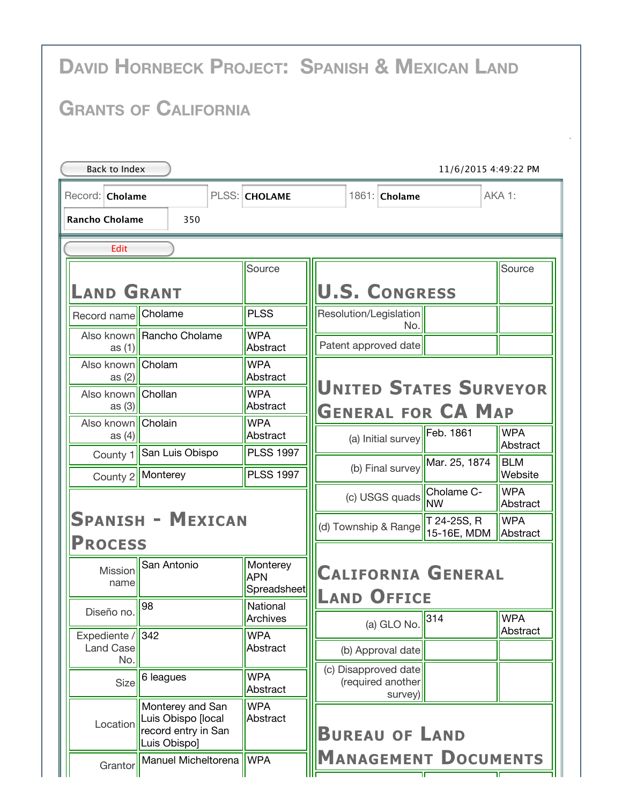|                                              |                                                                               |                                       | <b>DAVID HORNBECK PROJECT: SPANISH &amp; MEXICAN LAND</b>  |                        |  |  |  |  |  |  |
|----------------------------------------------|-------------------------------------------------------------------------------|---------------------------------------|------------------------------------------------------------|------------------------|--|--|--|--|--|--|
| <b>GRANTS OF CALIFORNIA</b>                  |                                                                               |                                       |                                                            |                        |  |  |  |  |  |  |
| <b>Back to Index</b><br>11/6/2015 4:49:22 PM |                                                                               |                                       |                                                            |                        |  |  |  |  |  |  |
| Record: <b>Cholame</b>                       |                                                                               | PLSS: CHOLAME                         | 1861: Cholame                                              | AKA 1:                 |  |  |  |  |  |  |
| <b>Rancho Cholame</b><br>350                 |                                                                               |                                       |                                                            |                        |  |  |  |  |  |  |
| Edit                                         |                                                                               |                                       |                                                            |                        |  |  |  |  |  |  |
| <b>AND GRANT</b>                             |                                                                               | Source                                | <b>U.S. CONGRESS</b>                                       | Source                 |  |  |  |  |  |  |
| Record name Cholame                          |                                                                               | <b>PLSS</b>                           | Resolution/Legislation<br>No.                              |                        |  |  |  |  |  |  |
| as $(1)$                                     | Also known Rancho Cholame                                                     | <b>WPA</b><br>Abstract                | Patent approved date                                       |                        |  |  |  |  |  |  |
| Also known   Cholam<br>as $(2)$              |                                                                               | <b>WPA</b><br>Abstract                |                                                            |                        |  |  |  |  |  |  |
| Also known   Chollan<br>as $(3)$             |                                                                               | <b>WPA</b><br>Abstract                | <b>UNITED STATES SURVEYOR</b><br><b>GENERAL FOR CA MAP</b> |                        |  |  |  |  |  |  |
| Also known<br>as $(4)$                       | Cholain                                                                       | <b>WPA</b><br>Abstract                | Feb. 1861<br>(a) Initial survey                            | <b>WPA</b>             |  |  |  |  |  |  |
| County 1                                     | San Luis Obispo                                                               | <b>PLSS 1997</b>                      | Mar. 25, 1874<br>(b) Final survey                          | Abstract<br><b>BLM</b> |  |  |  |  |  |  |
|                                              | County 2  Monterey                                                            | <b>PLSS 1997</b>                      |                                                            | Website<br><b>WPA</b>  |  |  |  |  |  |  |
|                                              |                                                                               |                                       | (c) USGS quads Cholame C-                                  | Abstract               |  |  |  |  |  |  |
| Spanish - Mexican<br><b>PROCESS</b>          |                                                                               |                                       | T 24-25S, R<br>(d) Township & Range<br>15-16E, MDM         | <b>WPA</b><br>Abstract |  |  |  |  |  |  |
| Mission<br>name                              | San Antonio                                                                   | Monterey<br><b>APN</b><br>Spreadsheet | <b>CALIFORNIA GENERAL</b>                                  |                        |  |  |  |  |  |  |
| Diseño no.                                   | 98                                                                            | National<br>Archives                  | <b>LAND OFFICE</b><br>314                                  | <b>WPA</b>             |  |  |  |  |  |  |
| Expediente / 342<br><b>Land Case</b>         |                                                                               | <b>WPA</b><br>Abstract                | (a) GLO No.<br>(b) Approval date                           | Abstract               |  |  |  |  |  |  |
| No.<br>Size                                  | 6 leagues                                                                     | <b>WPA</b><br>Abstract                | (c) Disapproved date<br>(required another                  |                        |  |  |  |  |  |  |
| Location                                     | Monterey and San<br>Luis Obispo [local<br>record entry in San<br>Luis Obispo] | <b>WPA</b><br>Abstract                | survey)<br><b>BUREAU OF LAND</b>                           |                        |  |  |  |  |  |  |
| Grantor                                      | Manuel Micheltorena                                                           | <b>WPA</b>                            | <b>MANAGEMENT DOCUMENTS</b>                                |                        |  |  |  |  |  |  |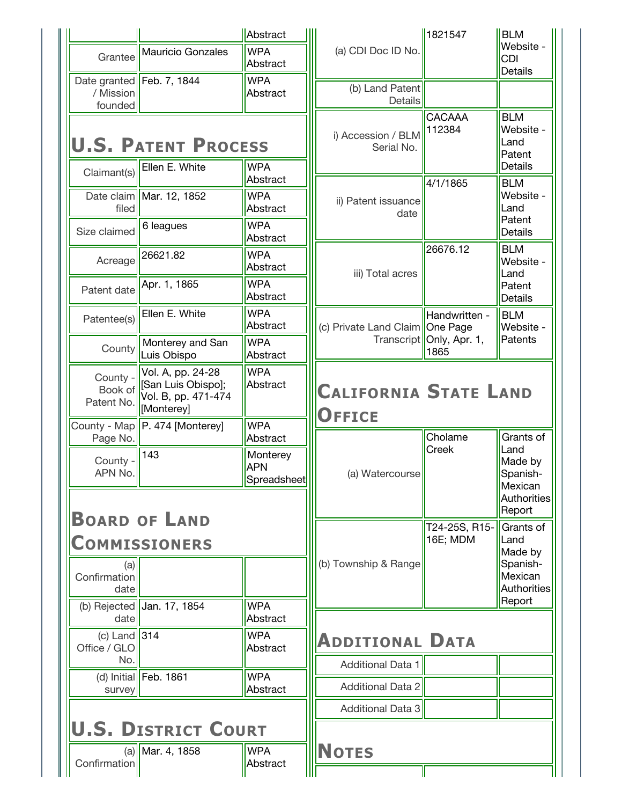|                                                            |                                              | Abstract                                          |                                   | 1821547                            | <b>BLM</b>                                                                             |
|------------------------------------------------------------|----------------------------------------------|---------------------------------------------------|-----------------------------------|------------------------------------|----------------------------------------------------------------------------------------|
| Grantee                                                    | <b>Mauricio Gonzales</b>                     | <b>WPA</b><br>Abstract                            | (a) CDI Doc ID No.                |                                    | Website -<br><b>CDI</b><br><b>Details</b>                                              |
| / Mission<br>founded                                       | Date granted   Feb. 7, 1844                  | <b>WPA</b><br>Abstract                            | (b) Land Patent<br>Details        |                                    |                                                                                        |
| <b>U.S. PATENT PROCESS</b><br><b>WPA</b><br>Ellen E. White |                                              |                                                   | i) Accession / BLM<br>Serial No.  | CACAAA<br>112384                   | <b>BLM</b><br>Website -<br>Land<br>Patent<br><b>Details</b>                            |
| Claimant(s)                                                | Date claim   Mar. 12, 1852                   | Abstract<br><b>WPA</b>                            |                                   | 4/1/1865                           | <b>BLM</b><br>Website -                                                                |
| filed                                                      |                                              | Abstract                                          | ii) Patent issuance<br>date       |                                    | Land<br>Patent                                                                         |
| Size claimed                                               | 6 leagues                                    | <b>WPA</b><br>Abstract                            |                                   |                                    | <b>Details</b>                                                                         |
| Acreage                                                    | 26621.82                                     | <b>WPA</b><br>Abstract                            | iii) Total acres                  | 26676.12                           | <b>BLM</b><br>Website -<br>Land                                                        |
| Patent date                                                | Apr. 1, 1865                                 | <b>WPA</b><br>Abstract                            |                                   |                                    | Patent<br><b>Details</b>                                                               |
| Patentee(s)                                                | Ellen E. White                               | <b>WPA</b><br>Abstract                            | (c) Private Land Claim   One Page | Handwritten -                      | <b>BLM</b><br>Website -                                                                |
| County                                                     | Monterey and San<br>Luis Obispo              | <b>WPA</b><br>Abstract                            |                                   | Transcript   Only, Apr. 1,<br>1865 | Patents                                                                                |
| County -<br>Book of                                        | Vol. A, pp. 24-28<br>[San Luis Obispo];      | <b>WPA</b><br>Abstract                            | <b>CALIFORNIA STATE LAND</b>      |                                    |                                                                                        |
| Patent No.                                                 | Vol. B, pp. 471-474<br>[Monterey]            |                                                   |                                   |                                    |                                                                                        |
|                                                            | County - Map <sup> </sup> P. 474 [Monterey]  | <b>WPA</b>                                        | <b>OFFICE</b>                     | Cholame                            | Grants of                                                                              |
| Page No.<br>County -<br>APN No.                            | 143                                          | Abstract<br>Monterey<br><b>APN</b><br>Spreadsheet | (a) Watercourse                   | Creek                              | Land<br>Made by<br>Spanish-<br>Mexican<br><b>Authorities</b>                           |
| (a)<br>Confirmation<br>date                                | <b>BOARD OF LAND</b><br><b>COMMISSIONERS</b> |                                                   | (b) Township & Range              | T24-25S, R15-<br>16E; MDM          | Report<br>Grants of<br>Land<br>Made by<br>Spanish-<br>Mexican<br>Authorities<br>Report |
| date                                                       | (b) Rejected Jan. 17, 1854                   | <b>WPA</b><br>Abstract                            |                                   |                                    |                                                                                        |
| (c) Land $\vert$ 314<br>Office / GLO                       |                                              | <b>WPA</b><br>Abstract                            | <b>ADDITIONAL DATA</b>            |                                    |                                                                                        |
| No.                                                        | (d) Initial Feb. 1861                        | <b>WPA</b>                                        | <b>Additional Data 1</b>          |                                    |                                                                                        |
| survey                                                     |                                              | Abstract                                          | <b>Additional Data 2</b>          |                                    |                                                                                        |
|                                                            | <b>U.S. DISTRICT COURT</b>                   |                                                   | <b>Additional Data 3</b>          |                                    |                                                                                        |